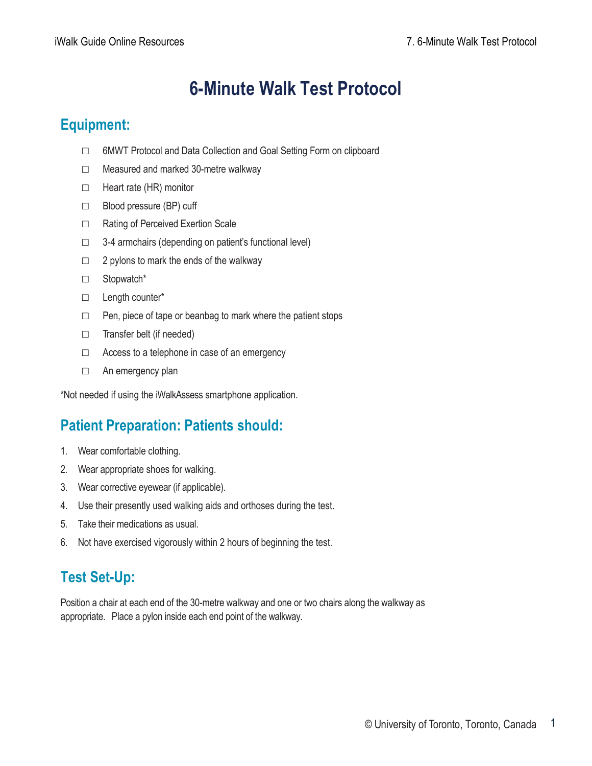# **6-Minute Walk Test Protocol**

### **Equipment:**

- □ 6MWT Protocol and Data Collection and Goal Setting Form on clipboard
- □ Measured and marked 30-metre walkway
- □ Heart rate (HR) monitor
- □ Blood pressure (BP) cuff
- □ Rating of Perceived Exertion Scale
- □ 3-4 armchairs (depending on patient's functional level)
- $\Box$  2 pylons to mark the ends of the walkway
- □ Stopwatch\*
- □ Length counter\*
- □ Pen, piece of tape or beanbag to mark where the patient stops
- □ Transfer belt (if needed)
- $\Box$  Access to a telephone in case of an emergency
- □ An emergency plan

\*Not needed if using the iWalkAssess smartphone application.

# **Patient Preparation: Patients should:**

- 1. Wear comfortable clothing.
- 2. Wear appropriate shoes for walking.
- 3. Wear corrective eyewear (if applicable).
- 4. Use their presently used walking aids and orthoses during the test.
- 5. Take their medications as usual.
- 6. Not have exercised vigorously within 2 hours of beginning the test.

# **Test Set-Up:**

Position a chair at each end of the 30-metre walkway and one or two chairs along the walkway as appropriate. Place a pylon inside each end point of the walkway.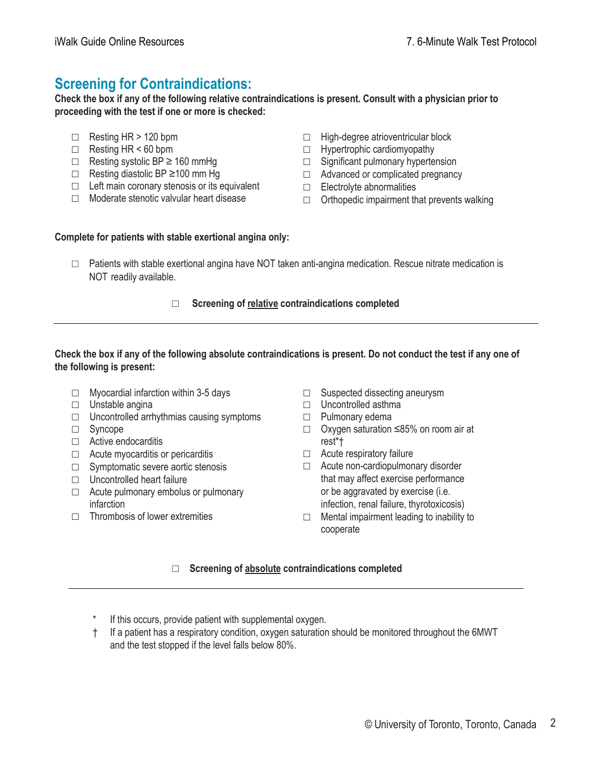### **Screening for Contraindications:**

**Check the box if any of the following relative contraindications is present. Consult with a physician prior to proceeding with the test if one or more is checked:**

- $\Box$  Resting HR > 120 bpm
- $\Box$  Resting HR < 60 bpm
- $\Box$  Resting systolic BP  $\geq$  160 mmHg
- □ Resting diastolic BP ≥100 mm Hg
- $\Box$  Left main coronary stenosis or its equivalent
- □ Moderate stenotic valvular heart disease
- □ High-degree atrioventricular block
- □ Hypertrophic cardiomyopathy
- □ Significant pulmonary hypertension
- □ Advanced or complicated pregnancy
- □ Electrolyte abnormalities
- $\Box$  Orthopedic impairment that prevents walking

#### **Complete for patients with stable exertional angina only:**

□ Patients with stable exertional angina have NOT taken anti-angina medication. Rescue nitrate medication is NOT readily available.

#### □ **Screening of relative contraindications completed**

#### **Check the box if any of the following absolute contraindications is present. Do not conduct the test if any one of the following is present:**

- □ Myocardial infarction within 3-5 days
- □ Unstable angina
- $\Box$  Uncontrolled arrhythmias causing symptoms
- □ Syncope
- □ Active endocarditis
- □ Acute myocarditis or pericarditis
- □ Symptomatic severe aortic stenosis
- □ Uncontrolled heart failure
- □ Acute pulmonary embolus or pulmonary infarction
- $\neg$  Thrombosis of lower extremities
- □ Suspected dissecting aneurysm
- □ Uncontrolled asthma
- □ Pulmonary edema
- □ Oxygen saturation ≤85% on room air at rest\*†
- □ Acute respiratory failure
- □ Acute non-cardiopulmonary disorder that may affect exercise performance or be aggravated by exercise (i.e. infection, renal failure, thyrotoxicosis)
- $\Box$  Mental impairment leading to inability to cooperate

#### □ **Screening of absolute contraindications completed**

- If this occurs, provide patient with supplemental oxygen.
- † If a patient has a respiratory condition, oxygen saturation should be monitored throughout the 6MWT and the test stopped if the level falls below 80%.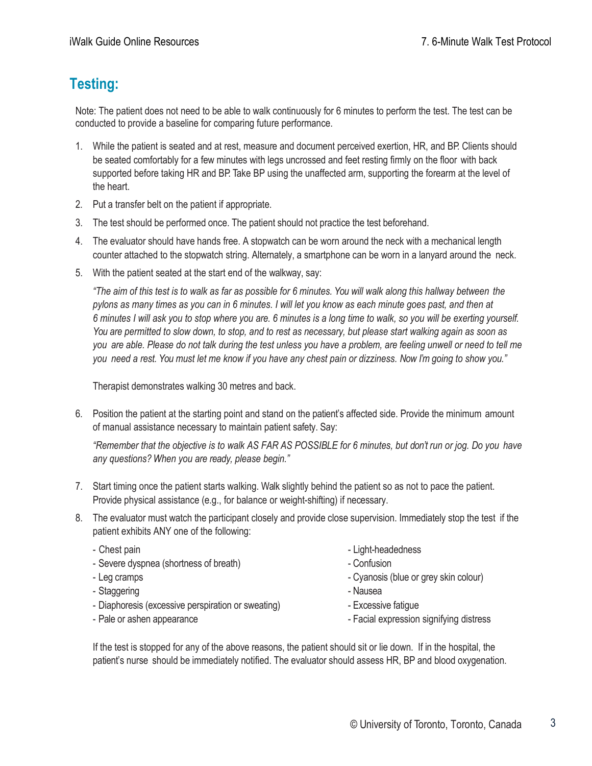## **Testing:**

Note: The patient does not need to be able to walk continuously for 6 minutes to perform the test. The test can be conducted to provide a baseline for comparing future performance.

- 1. While the patient is seated and at rest, measure and document perceived exertion, HR, and BP. Clients should be seated comfortably for a few minutes with legs uncrossed and feet resting firmly on the floor with back supported before taking HR and BP. Take BP using the unaffected arm, supporting the forearm at the level of the heart.
- 2. Put a transfer belt on the patient if appropriate.
- 3. The test should be performed once. The patient should not practice the test beforehand.
- 4. The evaluator should have hands free. A stopwatch can be worn around the neck with a mechanical length counter attached to the stopwatch string. Alternately, a smartphone can be worn in a lanyard around the neck.
- 5. With the patient seated at the start end of the walkway, say:

"The aim of this test is to walk as far as possible for 6 minutes. You will walk along this hallway between the *pylons as many times as you can in 6 minutes. I will let you know as each minute goes past, and then at 6 minutes I will ask you to stop where you are. 6 minutes is a long time to walk, so you will be exerting yourself. You are permitted to slow down, to stop, and to rest as necessary, but please start walking again as soon as you are able. Please do not talk during the test unless you have a problem, are feeling unwell or need to tell me you need a rest. You must let me know if you have any chest pain or dizziness. Now I'm going to show you."*

Therapist demonstrates walking 30 metres and back.

6. Position the patient at the starting point and stand on the patient's affected side. Provide the minimum amount of manual assistance necessary to maintain patient safety. Say:

*"Remember that the objective is to walk AS FAR AS POSSIBLE for 6 minutes, but don't run or jog. Do you have any questions? When you are ready, please begin."*

- 7. Start timing once the patient starts walking. Walk slightly behind the patient so as not to pace the patient. Provide physical assistance (e.g., for balance or weight-shifting) if necessary.
- 8. The evaluator must watch the participant closely and provide close supervision. Immediately stop the test if the patient exhibits ANY one of the following:
	-
	- Severe dyspnea (shortness of breath)  $\overline{\phantom{a}}$  Confusion
	-
	- Staggering  **Nausea**
	- Diaphoresis (excessive perspiration or sweating) Excessive fatigue
	-
	- Chest pain  $\overline{\phantom{a}}$  Light-headedness
		-
	- Leg cramps Cyanosis (blue or grey skin colour)
		-
		-
	- Pale or ashen appearance Facial expression signifying distress

If the test is stopped for any of the above reasons, the patient should sit or lie down. If in the hospital, the patient's nurse should be immediately notified. The evaluator should assess HR, BP and blood oxygenation.